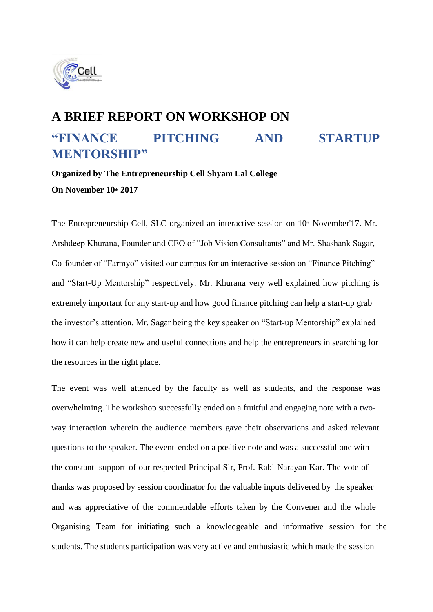

## **A BRIEF REPORT ON WORKSHOP ON "FINANCE PITCHING AND STARTUP MENTORSHIP"**

## **Organized by The Entrepreneurship Cell Shyam Lal College On November 10th 2017**

The Entrepreneurship Cell, SLC organized an interactive session on  $10<sup>th</sup>$  November'17. Mr. Arshdeep Khurana, Founder and CEO of "Job Vision Consultants" and Mr. Shashank Sagar, Co-founder of "Farmyo" visited our campus for an interactive session on "Finance Pitching" and "Start-Up Mentorship" respectively. Mr. Khurana very well explained how pitching is extremely important for any start-up and how good finance pitching can help a start-up grab the investor's attention. Mr. Sagar being the key speaker on "Start-up Mentorship" explained how it can help create new and useful connections and help the entrepreneurs in searching for the resources in the right place.

The event was well attended by the faculty as well as students, and the response was overwhelming. The workshop successfully ended on a fruitful and engaging note with a twoway interaction wherein the audience members gave their observations and asked relevant questions to the speaker. The event ended on a positive note and was a successful one with the constant support of our respected Principal Sir, Prof. Rabi Narayan Kar. The vote of thanks was proposed by session coordinator for the valuable inputs delivered by the speaker and was appreciative of the commendable efforts taken by the Convener and the whole Organising Team for initiating such a knowledgeable and informative session for the students. The students participation was very active and enthusiastic which made the session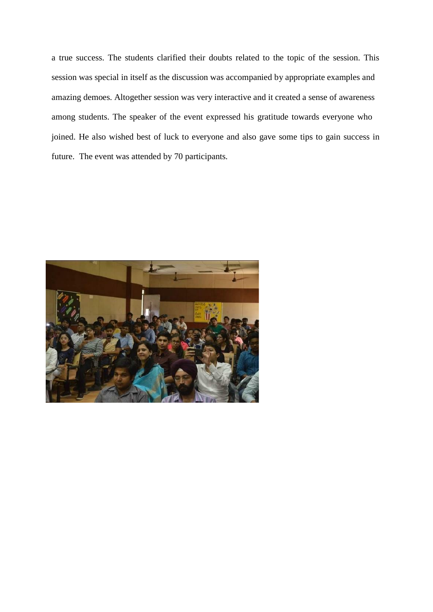a true success. The students clarified their doubts related to the topic of the session. This session was special in itself as the discussion was accompanied by appropriate examples and amazing demoes. Altogether session was very interactive and it created a sense of awareness among students. The speaker of the event expressed his gratitude towards everyone who joined. He also wished best of luck to everyone and also gave some tips to gain success in future. The event was attended by 70 participants.

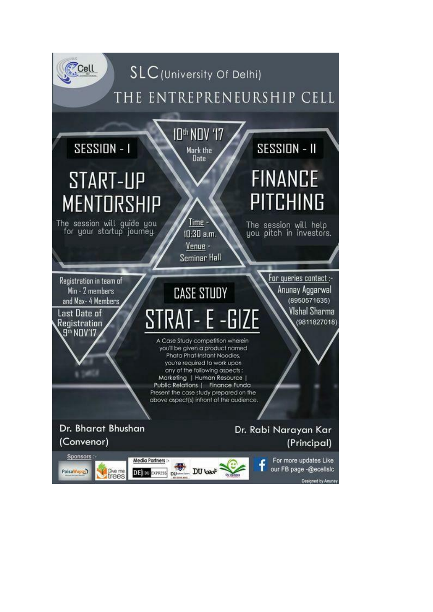